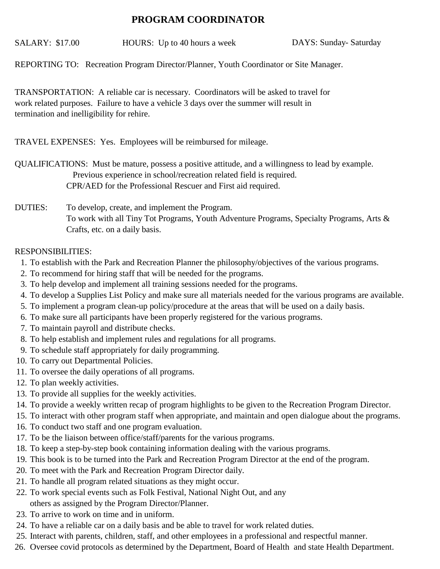## **PROGRAM COORDINATOR**

SALARY: \$17.00 HOURS: Up to 40 hours a week DAYS: Sunday-Saturday

REPORTING TO: Recreation Program Director/Planner, Youth Coordinator or Site Manager.

TRANSPORTATION: A reliable car is necessary. Coordinators will be asked to travel for work related purposes. Failure to have a vehicle 3 days over the summer will result in termination and inelligibility for rehire.

TRAVEL EXPENSES: Yes. Employees will be reimbursed for mileage.

 Previous experience in school/recreation related field is required. CPR/AED for the Professional Rescuer and First aid required. QUALIFICATIONS: Must be mature, possess a positive attitude, and a willingness to lead by example.

## To develop, create, and implement the Program. To work with all Tiny Tot Programs, Youth Adventure Programs, Specialty Programs, Arts & Crafts, etc. on a daily basis. DUTIES:

## RESPONSIBILITIES:

- 1. To establish with the Park and Recreation Planner the philosophy/objectives of the various programs.
- 2. To recommend for hiring staff that will be needed for the programs.
- 3. To help develop and implement all training sessions needed for the programs.
- 4. To develop a Supplies List Policy and make sure all materials needed for the various programs are available.
- 5. To implement a program clean-up policy/procedure at the areas that will be used on a daily basis.
- 6. To make sure all participants have been properly registered for the various programs.
- 7. To maintain payroll and distribute checks.
- 8. To help establish and implement rules and regulations for all programs.
- 9. To schedule staff appropriately for daily programming.
- 10. To carry out Departmental Policies.
- 11. To oversee the daily operations of all programs.
- 12. To plan weekly activities.
- 13. To provide all supplies for the weekly activities.
- 14. To provide a weekly written recap of program highlights to be given to the Recreation Program Director.
- 15. To interact with other program staff when appropriate, and maintain and open dialogue about the programs.
- 16. To conduct two staff and one program evaluation.
- 17. To be the liaison between office/staff/parents for the various programs.
- 18. To keep a step-by-step book containing information dealing with the various programs.
- 19. This book is to be turned into the Park and Recreation Program Director at the end of the program.
- 20. To meet with the Park and Recreation Program Director daily.
- 21. To handle all program related situations as they might occur.
- 22. To work special events such as Folk Festival, National Night Out, and any others as assigned by the Program Director/Planner.
- 23. To arrive to work on time and in uniform.
- 24. To have a reliable car on a daily basis and be able to travel for work related duties.
- 25. Interact with parents, children, staff, and other employees in a professional and respectful manner.
- 26. Oversee covid protocols as determined by the Department, Board of Health and state Health Department.